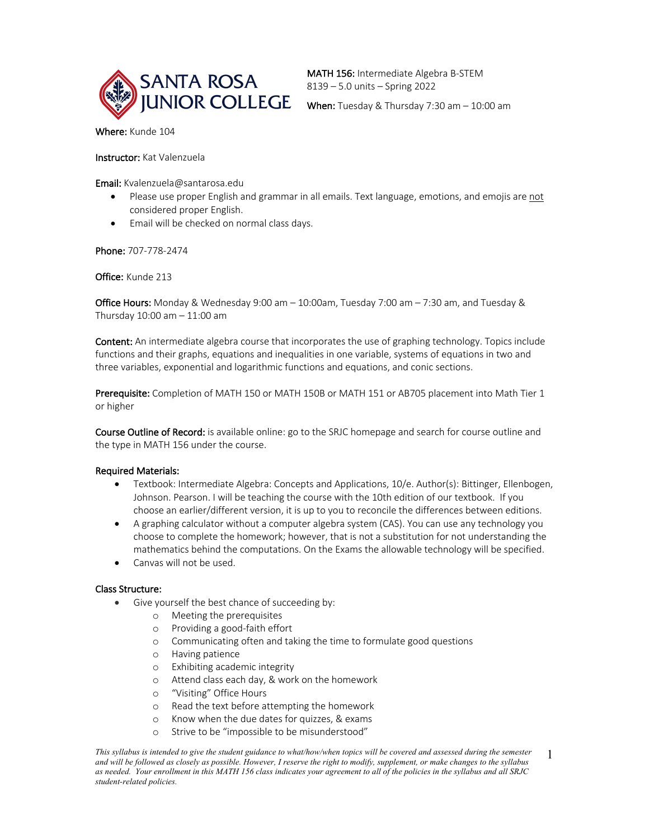

MATH 156: Intermediate Algebra B-STEM 8139 – 5.0 units – Spring 2022

Where: Kunde 104

Instructor: Kat Valenzuela

Email: Kvalenzuela@santarosa.edu

- Please use proper English and grammar in all emails. Text language, emotions, and emojis are not considered proper English.
- Email will be checked on normal class days.

Phone: 707-778-2474

Office: Kunde 213

Office Hours: Monday & Wednesday 9:00 am – 10:00am, Tuesday 7:00 am – 7:30 am, and Tuesday & Thursday 10:00 am – 11:00 am

Content: An intermediate algebra course that incorporates the use of graphing technology. Topics include functions and their graphs, equations and inequalities in one variable, systems of equations in two and three variables, exponential and logarithmic functions and equations, and conic sections.

Prerequisite: Completion of MATH 150 or MATH 150B or MATH 151 or AB705 placement into Math Tier 1 or higher

Course Outline of Record: is available online: go to the SRJC homepage and search for course outline and the type in MATH 156 under the course.

### Required Materials:

- Textbook: Intermediate Algebra: Concepts and Applications, 10/e. Author(s): Bittinger, Ellenbogen, Johnson. Pearson. I will be teaching the course with the 10th edition of our textbook. If you choose an earlier/different version, it is up to you to reconcile the differences between editions.
- A graphing calculator without a computer algebra system (CAS). You can use any technology you choose to complete the homework; however, that is not a substitution for not understanding the mathematics behind the computations. On the Exams the allowable technology will be specified.
- Canvas will not be used.

### Class Structure:

- Give yourself the best chance of succeeding by:
	- o Meeting the prerequisites
	- o Providing a good-faith effort
	- o Communicating often and taking the time to formulate good questions
	- o Having patience
	- o Exhibiting academic integrity
	- o Attend class each day, & work on the homework
	- o "Visiting" Office Hours
	- o Read the text before attempting the homework
	- o Know when the due dates for quizzes, & exams
	- o Strive to be "impossible to be misunderstood"

*This syllabus is intended to give the student guidance to what/how/when topics will be covered and assessed during the semester and will be followed as closely as possible. However, I reserve the right to modify, supplement, or make changes to the syllabus as needed. Your enrollment in this MATH 156 class indicates your agreement to all of the policies in the syllabus and all SRJC student-related policies.*

1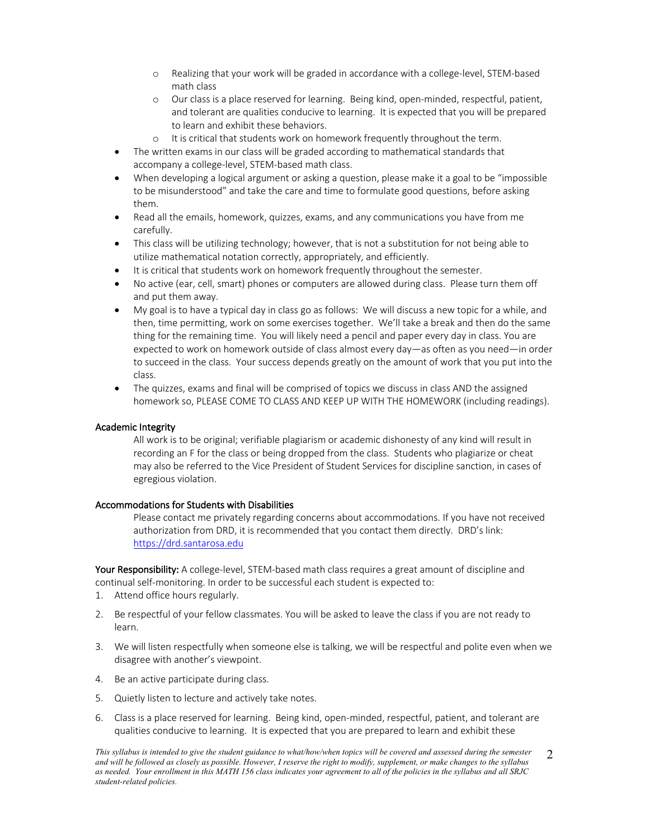- o Realizing that your work will be graded in accordance with a college-level, STEM-based math class
- o Our class is a place reserved for learning. Being kind, open-minded, respectful, patient, and tolerant are qualities conducive to learning. It is expected that you will be prepared to learn and exhibit these behaviors.
- o It is critical that students work on homework frequently throughout the term.
- The written exams in our class will be graded according to mathematical standards that accompany a college-level, STEM-based math class.
- When developing a logical argument or asking a question, please make it a goal to be "impossible to be misunderstood" and take the care and time to formulate good questions, before asking them.
- Read all the emails, homework, quizzes, exams, and any communications you have from me carefully.
- This class will be utilizing technology; however, that is not a substitution for not being able to utilize mathematical notation correctly, appropriately, and efficiently.
- It is critical that students work on homework frequently throughout the semester.
- No active (ear, cell, smart) phones or computers are allowed during class. Please turn them off and put them away.
- My goal is to have a typical day in class go as follows: We will discuss a new topic for a while, and then, time permitting, work on some exercises together. We'll take a break and then do the same thing for the remaining time. You will likely need a pencil and paper every day in class. You are expected to work on homework outside of class almost every day—as often as you need—in order to succeed in the class. Your success depends greatly on the amount of work that you put into the class.
- The quizzes, exams and final will be comprised of topics we discuss in class AND the assigned homework so, PLEASE COME TO CLASS AND KEEP UP WITH THE HOMEWORK (including readings).

### Academic Integrity

All work is to be original; verifiable plagiarism or academic dishonesty of any kind will result in recording an F for the class or being dropped from the class. Students who plagiarize or cheat may also be referred to the Vice President of Student Services for discipline sanction, in cases of egregious violation.

#### Accommodations for Students with Disabilities

Please contact me privately regarding concerns about accommodations. If you have not received authorization from DRD, it is recommended that you contact them directly. DRD's link: https://drd.santarosa.edu

Your Responsibility: A college-level, STEM-based math class requires a great amount of discipline and continual self-monitoring. In order to be successful each student is expected to:

- 1. Attend office hours regularly.
- 2. Be respectful of your fellow classmates. You will be asked to leave the class if you are not ready to learn.
- 3. We will listen respectfully when someone else is talking, we will be respectful and polite even when we disagree with another's viewpoint.
- 4. Be an active participate during class.
- 5. Quietly listen to lecture and actively take notes.
- 6. Class is a place reserved for learning. Being kind, open-minded, respectful, patient, and tolerant are qualities conducive to learning. It is expected that you are prepared to learn and exhibit these

*This syllabus is intended to give the student guidance to what/how/when topics will be covered and assessed during the semester and will be followed as closely as possible. However, I reserve the right to modify, supplement, or make changes to the syllabus as needed. Your enrollment in this MATH 156 class indicates your agreement to all of the policies in the syllabus and all SRJC student-related policies.*  $\mathcal{L}$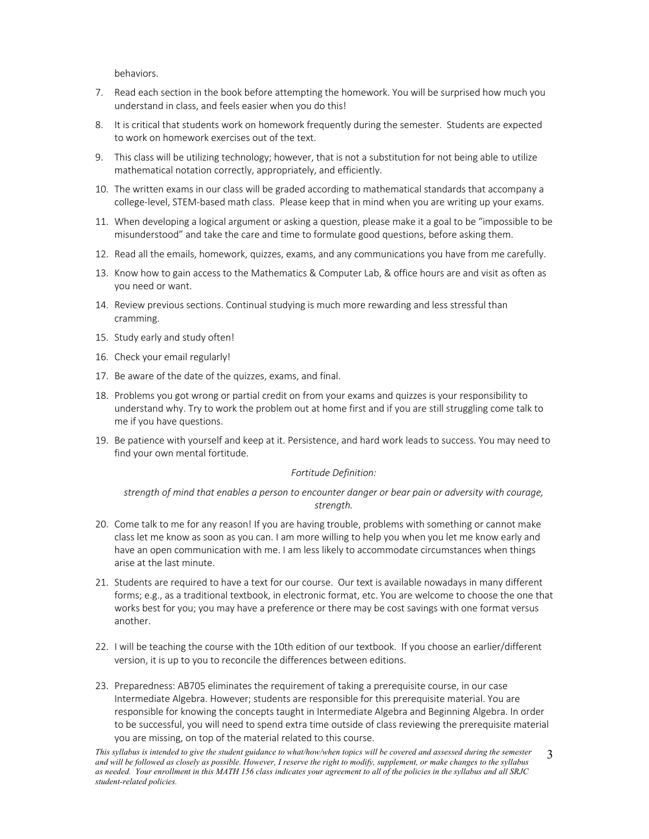behaviors.

- 7. Read each section in the book before attempting the homework. You will be surprised how much you understand in class, and feels easier when you do this!
- 8. It is critical that students work on homework frequently during the semester. Students are expected to work on homework exercises out of the text.
- 9. This class will be utilizing technology; however, that is not a substitution for not being able to utilize mathematical notation correctly, appropriately, and efficiently.
- 10. The written exams in our class will be graded according to mathematical standards that accompany a college-level, STEM-based math class. Please keep that in mind when you are writing up your exams.
- 11. When developing a logical argument or asking a question, please make it a goal to be "impossible to be misunderstood" and take the care and time to formulate good questions, before asking them.
- 12. Read all the emails, homework, quizzes, exams, and any communications you have from me carefully.
- 13. Know how to gain access to the Mathematics & Computer Lab, & office hours are and visit as often as you need or want.
- 14. Review previous sections. Continual studying is much more rewarding and less stressful than cramming.
- 15. Study early and study often!
- 16. Check your email regularly!
- 17. Be aware of the date of the quizzes, exams, and final.
- 18. Problems you got wrong or partial credit on from your exams and quizzes is your responsibility to understand why. Try to work the problem out at home first and if you are still struggling come talk to me if you have questions.
- 19. Be patience with yourself and keep at it. Persistence, and hard work leads to success. You may need to find your own mental fortitude.

#### *Fortitude Definition:*

*strength of mind that enables a person to encounter danger or bear pain or adversity with courage, strength.*

- 20. Come talk to me for any reason! If you are having trouble, problems with something or cannot make class let me know as soon as you can. I am more willing to help you when you let me know early and have an open communication with me. I am less likely to accommodate circumstances when things arise at the last minute.
- 21. Students are required to have a text for our course. Our text is available nowadays in many different forms; e.g., as a traditional textbook, in electronic format, etc. You are welcome to choose the one that works best for you; you may have a preference or there may be cost savings with one format versus another.
- 22. I will be teaching the course with the 10th edition of our textbook. If you choose an earlier/different version, it is up to you to reconcile the differences between editions.
- 23. Preparedness: AB705 eliminates the requirement of taking a prerequisite course, in our case Intermediate Algebra. However; students are responsible for this prerequisite material. You are responsible for knowing the concepts taught in Intermediate Algebra and Beginning Algebra. In order to be successful, you will need to spend extra time outside of class reviewing the prerequisite material you are missing, on top of the material related to this course.

*This syllabus is intended to give the student guidance to what/how/when topics will be covered and assessed during the semester and will be followed as closely as possible. However, I reserve the right to modify, supplement, or make changes to the syllabus as needed. Your enrollment in this MATH 156 class indicates your agreement to all of the policies in the syllabus and all SRJC student-related policies.* 3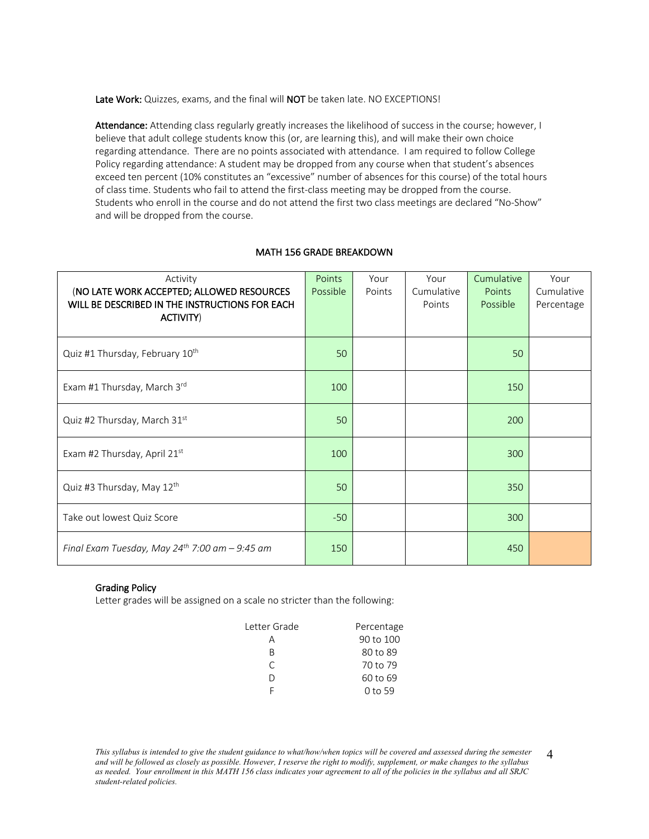Late Work: Quizzes, exams, and the final will NOT be taken late. NO EXCEPTIONS!

Attendance: Attending class regularly greatly increases the likelihood of success in the course; however, I believe that adult college students know this (or, are learning this), and will make their own choice regarding attendance. There are no points associated with attendance. I am required to follow College Policy regarding attendance: A student may be dropped from any course when that student's absences exceed ten percent (10% constitutes an "excessive" number of absences for this course) of the total hours of class time. Students who fail to attend the first-class meeting may be dropped from the course. Students who enroll in the course and do not attend the first two class meetings are declared "No-Show" and will be dropped from the course.

| Activity<br>(NO LATE WORK ACCEPTED; ALLOWED RESOURCES<br>WILL BE DESCRIBED IN THE INSTRUCTIONS FOR EACH<br>ACTIVITY) | Points<br>Possible | Your<br>Points | Your<br>Cumulative<br>Points | Cumulative<br>Points<br>Possible | Your<br>Cumulative<br>Percentage |
|----------------------------------------------------------------------------------------------------------------------|--------------------|----------------|------------------------------|----------------------------------|----------------------------------|
| Quiz #1 Thursday, February 10th                                                                                      | 50                 |                |                              | 50                               |                                  |
| Exam #1 Thursday, March 3rd                                                                                          | 100                |                |                              | 150                              |                                  |
| Quiz #2 Thursday, March 31st                                                                                         | 50                 |                |                              | 200                              |                                  |
| Exam #2 Thursday, April 21st                                                                                         | 100                |                |                              | 300                              |                                  |
| Quiz #3 Thursday, May 12th                                                                                           | 50                 |                |                              | 350                              |                                  |
| Take out lowest Quiz Score                                                                                           | $-50$              |                |                              | 300                              |                                  |
| Final Exam Tuesday, May 24 <sup>th</sup> 7:00 am $-$ 9:45 am                                                         | 150                |                |                              | 450                              |                                  |

### Grading Policy

Letter grades will be assigned on a scale no stricter than the following:

| Letter Grade | Percentage |
|--------------|------------|
| А            | 90 to 100  |
| R            | 80 to 89   |
| C            | 70 to 79   |
| I١           | 60 to 69   |
|              | $0$ to 59  |

*This syllabus is intended to give the student guidance to what/how/when topics will be covered and assessed during the semester and will be followed as closely as possible. However, I reserve the right to modify, supplement, or make changes to the syllabus as needed. Your enrollment in this MATH 156 class indicates your agreement to all of the policies in the syllabus and all SRJC student-related policies.* 4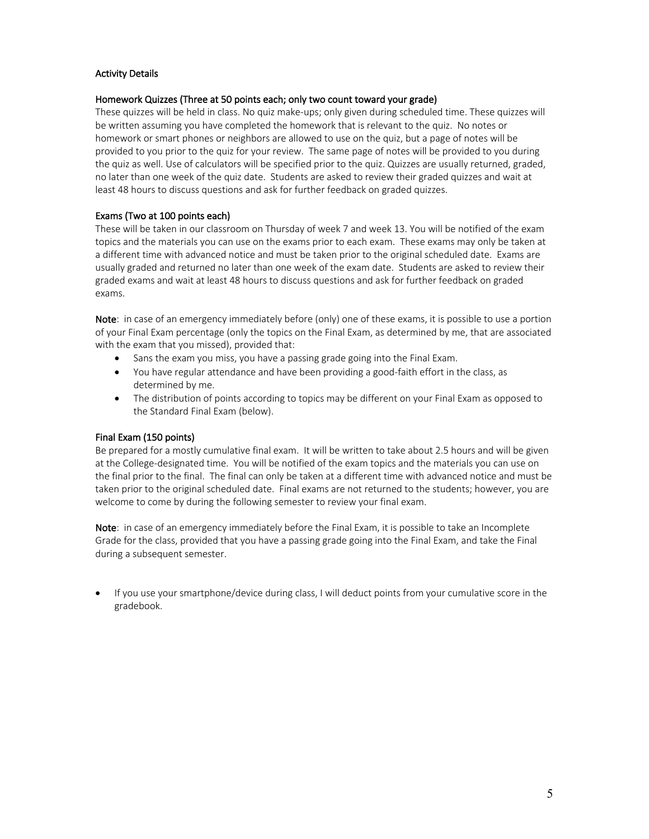## Activity Details

## Homework Quizzes (Three at 50 points each; only two count toward your grade)

These quizzes will be held in class. No quiz make-ups; only given during scheduled time. These quizzes will be written assuming you have completed the homework that is relevant to the quiz. No notes or homework or smart phones or neighbors are allowed to use on the quiz, but a page of notes will be provided to you prior to the quiz for your review. The same page of notes will be provided to you during the quiz as well. Use of calculators will be specified prior to the quiz. Quizzes are usually returned, graded, no later than one week of the quiz date. Students are asked to review their graded quizzes and wait at least 48 hours to discuss questions and ask for further feedback on graded quizzes.

# Exams (Two at 100 points each)

These will be taken in our classroom on Thursday of week 7 and week 13. You will be notified of the exam topics and the materials you can use on the exams prior to each exam. These exams may only be taken at a different time with advanced notice and must be taken prior to the original scheduled date. Exams are usually graded and returned no later than one week of the exam date. Students are asked to review their graded exams and wait at least 48 hours to discuss questions and ask for further feedback on graded exams.

Note: in case of an emergency immediately before (only) one of these exams, it is possible to use a portion of your Final Exam percentage (only the topics on the Final Exam, as determined by me, that are associated with the exam that you missed), provided that:

- Sans the exam you miss, you have a passing grade going into the Final Exam.
- You have regular attendance and have been providing a good-faith effort in the class, as determined by me.
- The distribution of points according to topics may be different on your Final Exam as opposed to the Standard Final Exam (below).

### Final Exam (150 points)

Be prepared for a mostly cumulative final exam. It will be written to take about 2.5 hours and will be given at the College-designated time. You will be notified of the exam topics and the materials you can use on the final prior to the final. The final can only be taken at a different time with advanced notice and must be taken prior to the original scheduled date. Final exams are not returned to the students; however, you are welcome to come by during the following semester to review your final exam.

Note: in case of an emergency immediately before the Final Exam, it is possible to take an Incomplete Grade for the class, provided that you have a passing grade going into the Final Exam, and take the Final during a subsequent semester.

• If you use your smartphone/device during class, I will deduct points from your cumulative score in the gradebook.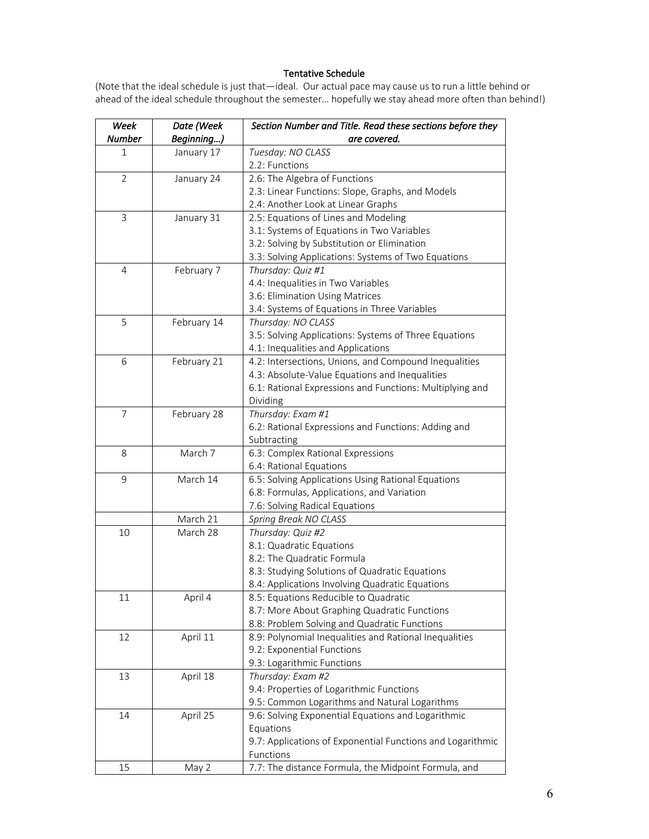#### Tentative Schedule

(Note that the ideal schedule is just that—ideal. Our actual pace may cause us to run a little behind or ahead of the ideal schedule throughout the semester… hopefully we stay ahead more often than behind!)

| Week           | Date (Week  | Section Number and Title. Read these sections before they                            |
|----------------|-------------|--------------------------------------------------------------------------------------|
| Number         | Beginning)  | are covered.                                                                         |
| 1              | January 17  | Tuesday: NO CLASS                                                                    |
|                |             | 2.2: Functions                                                                       |
| $\overline{2}$ | January 24  | 2.6: The Algebra of Functions                                                        |
|                |             | 2.3: Linear Functions: Slope, Graphs, and Models                                     |
|                |             | 2.4: Another Look at Linear Graphs                                                   |
| 3              | January 31  | 2.5: Equations of Lines and Modeling                                                 |
|                |             | 3.1: Systems of Equations in Two Variables                                           |
|                |             | 3.2: Solving by Substitution or Elimination                                          |
|                |             | 3.3: Solving Applications: Systems of Two Equations                                  |
| $\overline{4}$ | February 7  | Thursday: Quiz #1                                                                    |
|                |             | 4.4: Inequalities in Two Variables                                                   |
|                |             | 3.6: Elimination Using Matrices                                                      |
|                |             | 3.4: Systems of Equations in Three Variables                                         |
| 5              | February 14 | Thursday: NO CLASS                                                                   |
|                |             | 3.5: Solving Applications: Systems of Three Equations                                |
|                |             | 4.1: Inequalities and Applications                                                   |
| 6              | February 21 | 4.2: Intersections, Unions, and Compound Inequalities                                |
|                |             | 4.3: Absolute-Value Equations and Inequalities                                       |
|                |             | 6.1: Rational Expressions and Functions: Multiplying and                             |
|                |             | Dividing                                                                             |
| $\overline{7}$ | February 28 | Thursday: Exam #1                                                                    |
|                |             | 6.2: Rational Expressions and Functions: Adding and                                  |
|                |             | Subtracting                                                                          |
| 8              | March 7     | 6.3: Complex Rational Expressions                                                    |
|                |             | 6.4: Rational Equations                                                              |
| 9              | March 14    | 6.5: Solving Applications Using Rational Equations                                   |
|                |             | 6.8: Formulas, Applications, and Variation                                           |
|                |             | 7.6: Solving Radical Equations                                                       |
|                | March 21    | Spring Break NO CLASS                                                                |
| 10             | March 28    | Thursday: Quiz #2                                                                    |
|                |             | 8.1: Quadratic Equations                                                             |
|                |             | 8.2: The Quadratic Formula                                                           |
|                |             | 8.3: Studying Solutions of Quadratic Equations                                       |
|                |             | 8.4: Applications Involving Quadratic Equations                                      |
| 11             | April 4     | 8.5: Equations Reducible to Quadratic                                                |
|                |             | 8.7: More About Graphing Quadratic Functions                                         |
|                |             | 8.8: Problem Solving and Quadratic Functions                                         |
| 12             | April 11    | 8.9: Polynomial Inequalities and Rational Inequalities<br>9.2: Exponential Functions |
|                |             | 9.3: Logarithmic Functions                                                           |
|                | April 18    | Thursday: Exam #2                                                                    |
| 13             |             | 9.4: Properties of Logarithmic Functions                                             |
|                |             | 9.5: Common Logarithms and Natural Logarithms                                        |
| 14             | April 25    | 9.6: Solving Exponential Equations and Logarithmic                                   |
|                |             | Equations                                                                            |
|                |             | 9.7: Applications of Exponential Functions and Logarithmic                           |
|                |             | Functions                                                                            |
| 15             | May 2       | 7.7: The distance Formula, the Midpoint Formula, and                                 |
|                |             |                                                                                      |